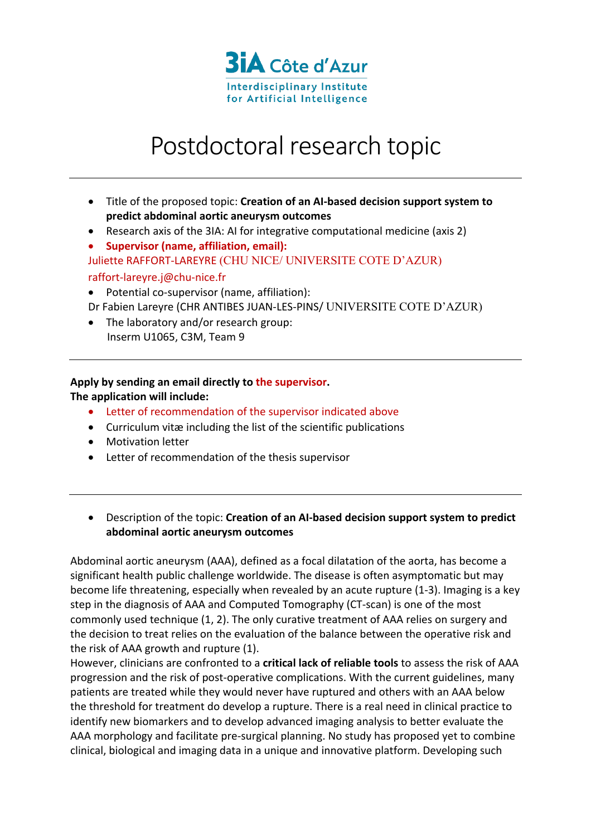

## Postdoctoral research topic

- Title of the proposed topic: **Creation of an AI-based decision support system to predict abdominal aortic aneurysm outcomes**
- Research axis of the 3IA: AI for integrative computational medicine (axis 2)
- **Supervisor (name, affiliation, email):**  Juliette RAFFORT-LAREYRE (CHU NICE/ UNIVERSITE COTE D'AZUR) raffort-lareyre.j@chu-nice.fr
- Potential co-supervisor (name, affiliation):
- Dr Fabien Lareyre (CHR ANTIBES JUAN-LES-PINS/ UNIVERSITE COTE D'AZUR)
- The laboratory and/or research group: Inserm U1065, C3M, Team 9

## **Apply by sending an email directly to the supervisor.**

## **The application will include:**

- Letter of recommendation of the supervisor indicated above
- Curriculum vitæ including the list of the scientific publications
- Motivation letter
- Letter of recommendation of the thesis supervisor
- Description of the topic: **Creation of an AI-based decision support system to predict abdominal aortic aneurysm outcomes**

Abdominal aortic aneurysm (AAA), defined as a focal dilatation of the aorta, has become a significant health public challenge worldwide. The disease is often asymptomatic but may become life threatening, especially when revealed by an acute rupture (1-3). Imaging is a key step in the diagnosis of AAA and Computed Tomography (CT-scan) is one of the most commonly used technique (1, 2). The only curative treatment of AAA relies on surgery and the decision to treat relies on the evaluation of the balance between the operative risk and the risk of AAA growth and rupture (1).

However, clinicians are confronted to a **critical lack of reliable tools** to assess the risk of AAA progression and the risk of post-operative complications. With the current guidelines, many patients are treated while they would never have ruptured and others with an AAA below the threshold for treatment do develop a rupture. There is a real need in clinical practice to identify new biomarkers and to develop advanced imaging analysis to better evaluate the AAA morphology and facilitate pre-surgical planning. No study has proposed yet to combine clinical, biological and imaging data in a unique and innovative platform. Developing such